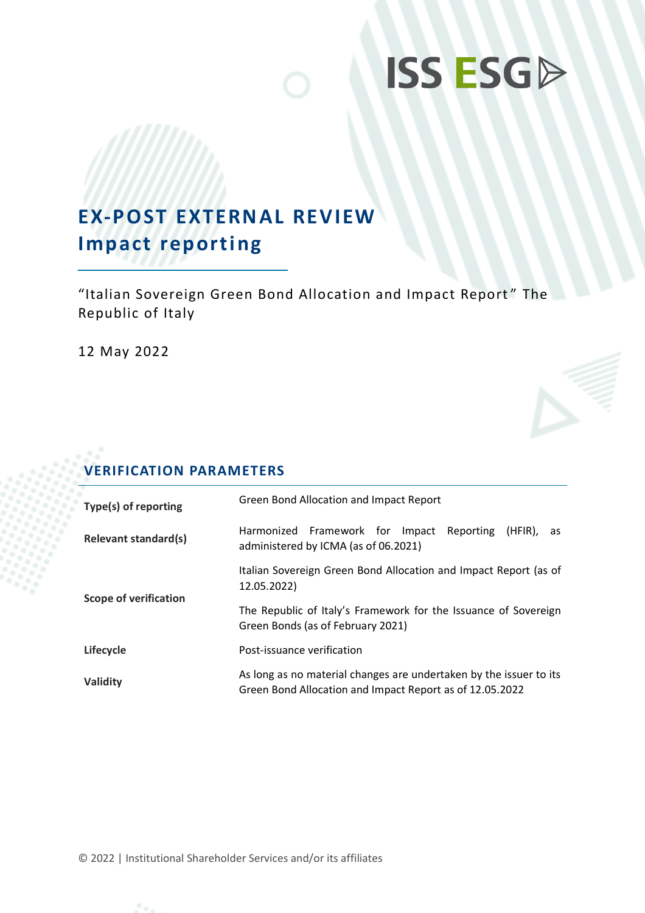# **ISS ESGP**

# **EX-POST EXTERNAL REVIEW Impact reporting**

"Italian Sovereign Green Bond Allocation and Impact Report " The Republic of Italy

12 May 2022

# **VERIFICATION PARAMETERS**

| Type(s) of reporting         | Green Bond Allocation and Impact Report                                                                                        |  |  |  |  |
|------------------------------|--------------------------------------------------------------------------------------------------------------------------------|--|--|--|--|
| <b>Relevant standard(s)</b>  | Harmonized Framework for Impact<br>Reporting<br>(HFIR). as<br>administered by ICMA (as of 06.2021)                             |  |  |  |  |
|                              | Italian Sovereign Green Bond Allocation and Impact Report (as of<br>12.05.2022)                                                |  |  |  |  |
| <b>Scope of verification</b> | The Republic of Italy's Framework for the Issuance of Sovereign<br>Green Bonds (as of February 2021)                           |  |  |  |  |
| Lifecycle                    | Post-issuance verification                                                                                                     |  |  |  |  |
| Validity                     | As long as no material changes are undertaken by the issuer to its<br>Green Bond Allocation and Impact Report as of 12.05.2022 |  |  |  |  |

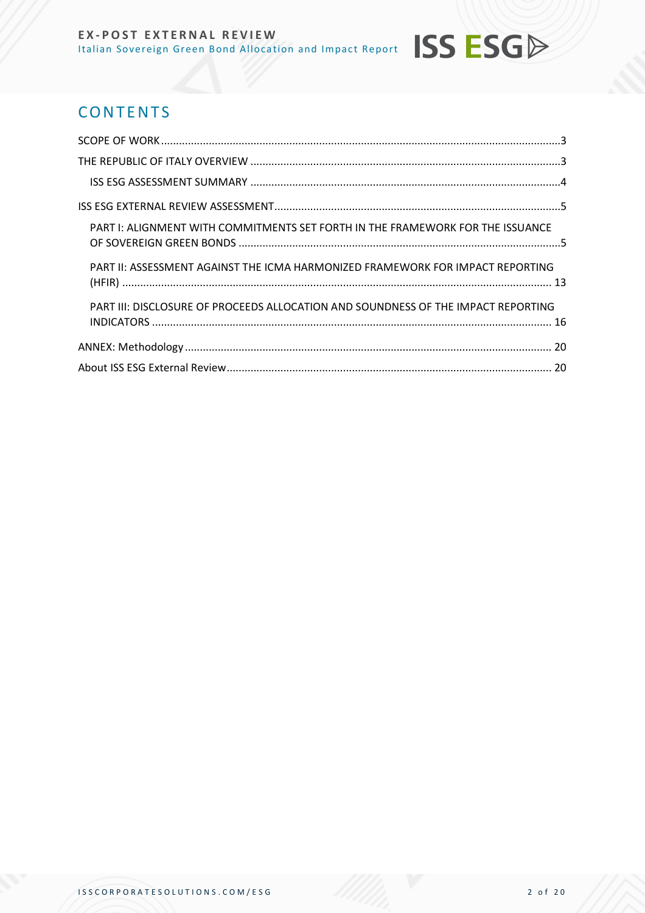# **CONTENTS**

| PART I: ALIGNMENT WITH COMMITMENTS SET FORTH IN THE FRAMEWORK FOR THE ISSUANCE    |  |
|-----------------------------------------------------------------------------------|--|
| PART II: ASSESSMENT AGAINST THE ICMA HARMONIZED FRAMEWORK FOR IMPACT REPORTING    |  |
| PART III: DISCLOSURE OF PROCEEDS ALLOCATION AND SOUNDNESS OF THE IMPACT REPORTING |  |
|                                                                                   |  |
|                                                                                   |  |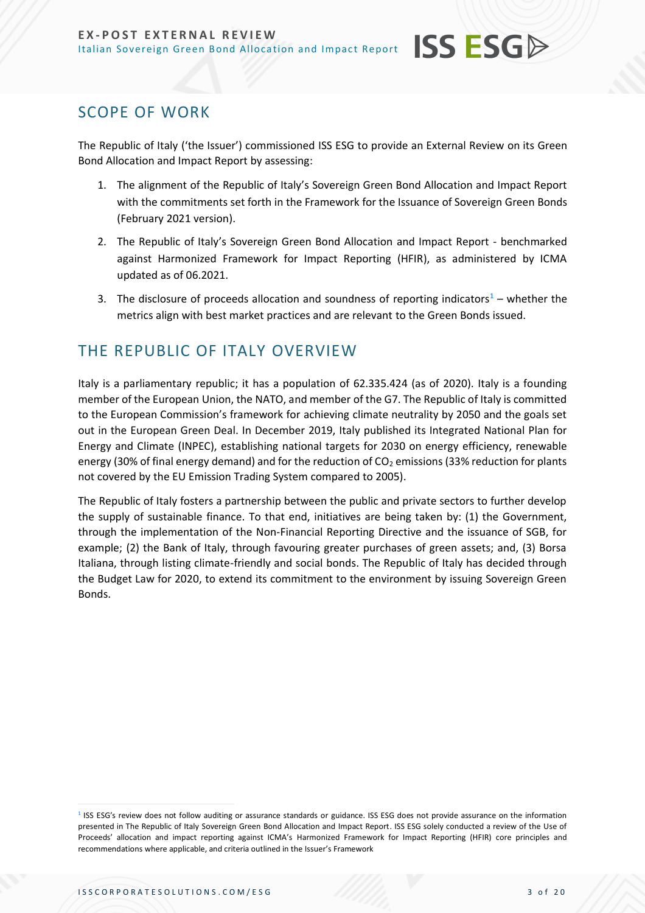<span id="page-2-0"></span>The Republic of Italy ('the Issuer') commissioned ISS ESG to provide an External Review on its Green Bond Allocation and Impact Report by assessing:

**ISS ESG** 

- 1. The alignment of the Republic of Italy's Sovereign Green Bond Allocation and Impact Report with the commitments set forth in the Framework for the Issuance of Sovereign Green Bonds (February 2021 version).
- 2. The Republic of Italy's Sovereign Green Bond Allocation and Impact Report benchmarked against Harmonized Framework for Impact Reporting (HFIR), as administered by ICMA updated as of 06.2021.
- 3. The disclosure of proceeds allocation and soundness of reporting indicators<sup>1</sup> whether the metrics align with best market practices and are relevant to the Green Bonds issued.

# <span id="page-2-1"></span>THE REPUBLIC OF ITALY OVERVIEW

Italy is a parliamentary republic; it has a population of 62.335.424 (as of 2020). Italy is a founding member of the European Union, the NATO, and member of the G7. The Republic of Italy is committed to the European Commission's framework for achieving climate neutrality by 2050 and the goals set out in the European Green Deal. In December 2019, Italy published its Integrated National Plan for Energy and Climate (INPEC), establishing national targets for 2030 on energy efficiency, renewable energy (30% of final energy demand) and for the reduction of  $CO<sub>2</sub>$  emissions (33% reduction for plants not covered by the EU Emission Trading System compared to 2005).

The Republic of Italy fosters a partnership between the public and private sectors to further develop the supply of sustainable finance. To that end, initiatives are being taken by: (1) the Government, through the implementation of the Non-Financial Reporting Directive and the issuance of SGB, for example; (2) the Bank of Italy, through favouring greater purchases of green assets; and, (3) Borsa Italiana, through listing climate-friendly and social bonds. The Republic of Italy has decided through the Budget Law for 2020, to extend its commitment to the environment by issuing Sovereign Green Bonds.

<sup>&</sup>lt;sup>1</sup> ISS ESG's review does not follow auditing or assurance standards or guidance. ISS ESG does not provide assurance on the information presented in The Republic of Italy Sovereign Green Bond Allocation and Impact Report. ISS ESG solely conducted a review of the Use of Proceeds' allocation and impact reporting against ICMA's Harmonized Framework for Impact Reporting (HFIR) core principles and recommendations where applicable, and criteria outlined in the Issuer's Framework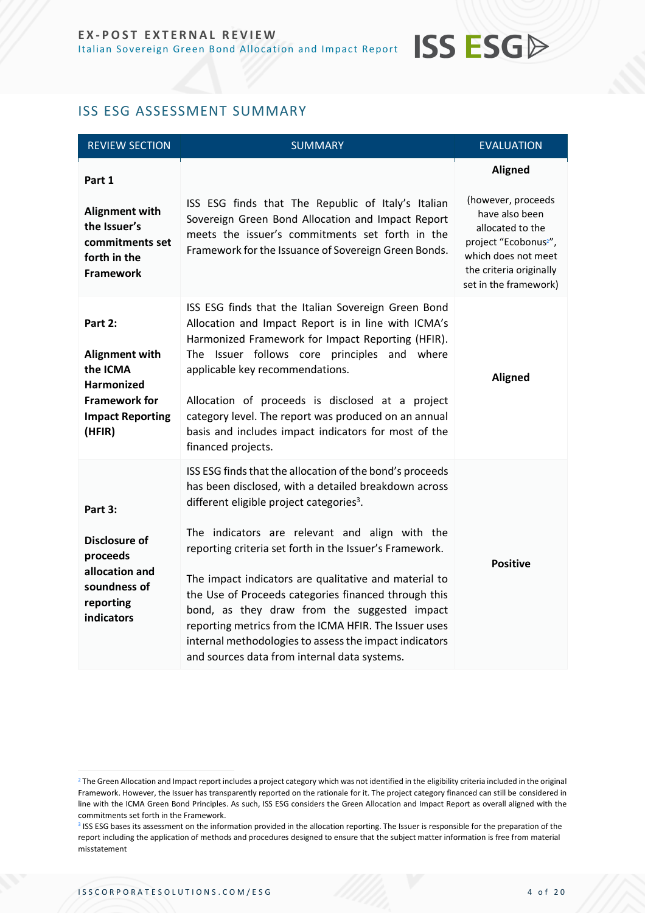# **ISS ESGA**

#### <span id="page-3-0"></span>ISS ESG ASSESSMENT SUMMARY

| <b>REVIEW SECTION</b>                                                                                                   | <b>SUMMARY</b>                                                                                                                                                                                                                                                                                                                                                                                                                                                                                                                                                                                                            | <b>EVALUATION</b>                                                                                                                                                                          |
|-------------------------------------------------------------------------------------------------------------------------|---------------------------------------------------------------------------------------------------------------------------------------------------------------------------------------------------------------------------------------------------------------------------------------------------------------------------------------------------------------------------------------------------------------------------------------------------------------------------------------------------------------------------------------------------------------------------------------------------------------------------|--------------------------------------------------------------------------------------------------------------------------------------------------------------------------------------------|
| Part 1<br><b>Alignment with</b><br>the Issuer's<br>commitments set<br>forth in the<br><b>Framework</b>                  | ISS ESG finds that The Republic of Italy's Italian<br>Sovereign Green Bond Allocation and Impact Report<br>meets the issuer's commitments set forth in the<br>Framework for the Issuance of Sovereign Green Bonds.                                                                                                                                                                                                                                                                                                                                                                                                        | <b>Aligned</b><br>(however, proceeds<br>have also been<br>allocated to the<br>project "Ecobonus <sup>2"</sup> ,<br>which does not meet<br>the criteria originally<br>set in the framework) |
| Part 2:<br>Alignment with<br>the ICMA<br><b>Harmonized</b><br><b>Framework for</b><br><b>Impact Reporting</b><br>(HFIR) | ISS ESG finds that the Italian Sovereign Green Bond<br>Allocation and Impact Report is in line with ICMA's<br>Harmonized Framework for Impact Reporting (HFIR).<br>The Issuer follows core principles and where<br>applicable key recommendations.<br>Allocation of proceeds is disclosed at a project<br>category level. The report was produced on an annual<br>basis and includes impact indicators for most of the<br>financed projects.                                                                                                                                                                              | <b>Aligned</b>                                                                                                                                                                             |
| Part 3:<br><b>Disclosure of</b><br>proceeds<br>allocation and<br>soundness of<br>reporting<br>indicators                | ISS ESG finds that the allocation of the bond's proceeds<br>has been disclosed, with a detailed breakdown across<br>different eligible project categories <sup>3</sup> .<br>The indicators are relevant and align with the<br>reporting criteria set forth in the Issuer's Framework.<br>The impact indicators are qualitative and material to<br>the Use of Proceeds categories financed through this<br>bond, as they draw from the suggested impact<br>reporting metrics from the ICMA HFIR. The Issuer uses<br>internal methodologies to assess the impact indicators<br>and sources data from internal data systems. | <b>Positive</b>                                                                                                                                                                            |

 $2$  The Green Allocation and Impact report includes a project category which was not identified in the eligibility criteria included in the original Framework. However, the Issuer has transparently reported on the rationale for it. The project category financed can still be considered in line with the ICMA Green Bond Principles. As such, ISS ESG considers the Green Allocation and Impact Report as overall aligned with the commitments set forth in the Framework.

<sup>&</sup>lt;sup>3</sup> ISS ESG bases its assessment on the information provided in the allocation reporting. The Issuer is responsible for the preparation of the report including the application of methods and procedures designed to ensure that the subject matter information is free from material misstatement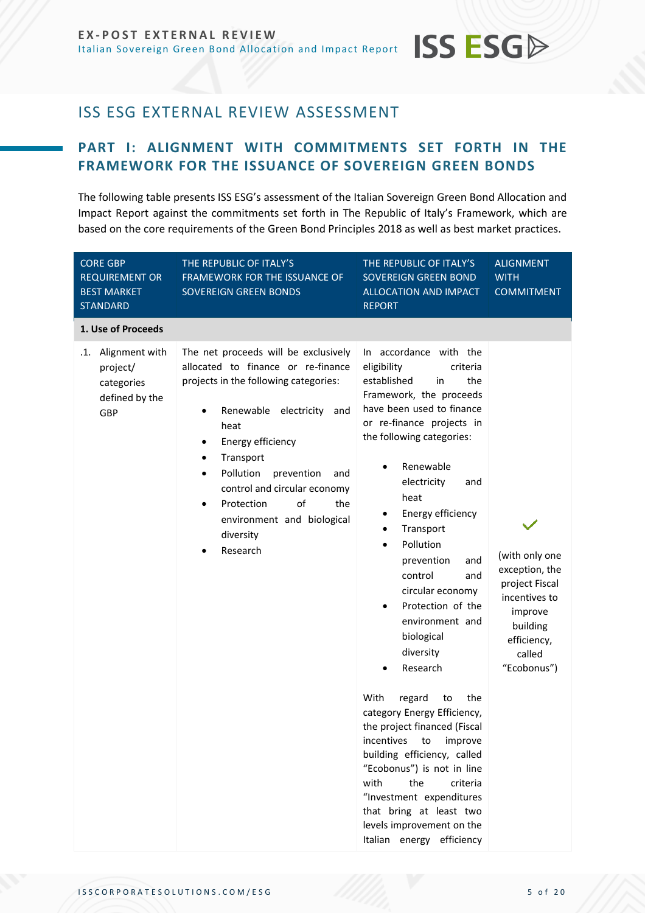# **ISS ESGA**

# <span id="page-4-0"></span>ISS ESG EXTERNAL REVIEW ASSESSMENT

#### <span id="page-4-1"></span>**PART I: ALIGNMENT WITH COMMITMENTS SET FORTH IN THE FRAMEWORK FOR THE ISSUANCE OF SOVEREIGN GREEN BONDS**

The following table presents ISS ESG's assessment of the Italian Sovereign Green Bond Allocation and Impact Report against the commitments set forth in The Republic of Italy's Framework, which are based on the core requirements of the Green Bond Principles 2018 as well as best market practices.

| <b>CORE GBP</b><br><b>REQUIREMENT OR</b><br><b>BEST MARKET</b><br><b>STANDARD</b> | THE REPUBLIC OF ITALY'S<br>FRAMEWORK FOR THE ISSUANCE OF<br>SOVEREIGN GREEN BONDS                                                                                                                                                                                                                                                                                        | THE REPUBLIC OF ITALY'S<br>SOVEREIGN GREEN BOND<br><b>ALLOCATION AND IMPACT</b><br><b>REPORT</b>                                                                                                                                                                                                                                                                                                                                                                                                                                                                                                                                                                                                                                                                          | <b>ALIGNMENT</b><br><b>WITH</b><br><b>COMMITMENT</b>                                                                               |
|-----------------------------------------------------------------------------------|--------------------------------------------------------------------------------------------------------------------------------------------------------------------------------------------------------------------------------------------------------------------------------------------------------------------------------------------------------------------------|---------------------------------------------------------------------------------------------------------------------------------------------------------------------------------------------------------------------------------------------------------------------------------------------------------------------------------------------------------------------------------------------------------------------------------------------------------------------------------------------------------------------------------------------------------------------------------------------------------------------------------------------------------------------------------------------------------------------------------------------------------------------------|------------------------------------------------------------------------------------------------------------------------------------|
| 1. Use of Proceeds                                                                |                                                                                                                                                                                                                                                                                                                                                                          |                                                                                                                                                                                                                                                                                                                                                                                                                                                                                                                                                                                                                                                                                                                                                                           |                                                                                                                                    |
| .1. Alignment with<br>project/<br>categories<br>defined by the<br>GBP             | The net proceeds will be exclusively<br>allocated to finance or re-finance<br>projects in the following categories:<br>Renewable electricity<br>and<br>heat<br>Energy efficiency<br>٠<br>Transport<br>٠<br>Pollution<br>prevention<br>and<br>$\bullet$<br>control and circular economy<br>Protection<br>of<br>the<br>environment and biological<br>diversity<br>Research | In accordance with the<br>eligibility<br>criteria<br>established<br>the<br>in<br>Framework, the proceeds<br>have been used to finance<br>or re-finance projects in<br>the following categories:<br>Renewable<br>electricity<br>and<br>heat<br>Energy efficiency<br>Transport<br>Pollution<br>prevention<br>and<br>control<br>and<br>circular economy<br>Protection of the<br>environment and<br>biological<br>diversity<br>Research<br>With<br>the<br>regard<br>to<br>category Energy Efficiency,<br>the project financed (Fiscal<br>incentives<br>to<br>improve<br>building efficiency, called<br>"Ecobonus") is not in line<br>with<br>the<br>criteria<br>"Investment expenditures<br>that bring at least two<br>levels improvement on the<br>Italian energy efficiency | (with only one<br>exception, the<br>project Fiscal<br>incentives to<br>improve<br>building<br>efficiency,<br>called<br>"Ecobonus") |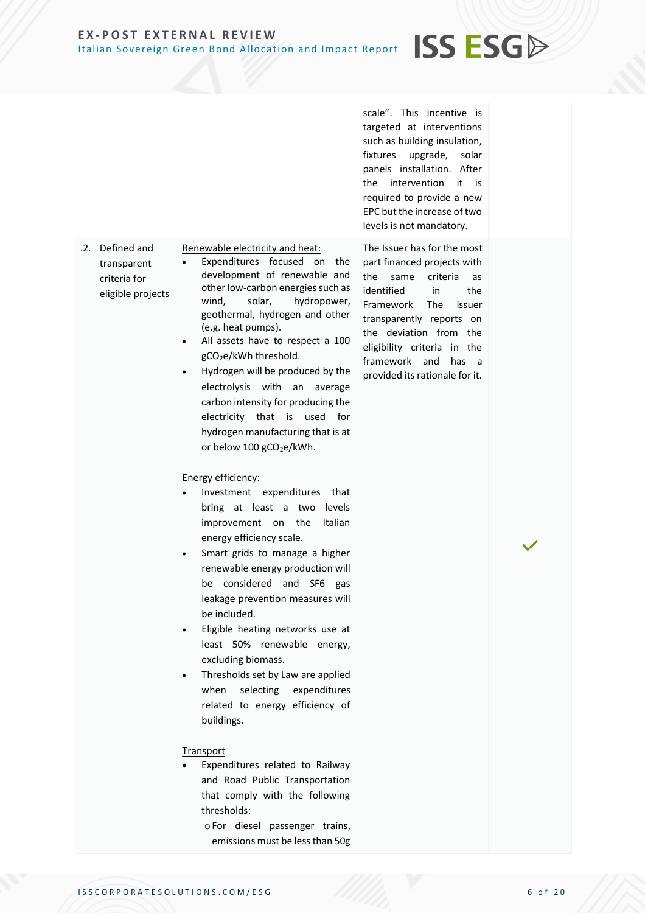#### scale". This incentive is targeted at interventions such as building insulation, fixtures upgrade, solar panels installation. After the intervention it is required to provide a new EPC but the increase of two levels is not mandatory. .2. Defined and transparent criteria for eligible projects Renewable electricity and heat: Expenditures focused on the development of renewable and other low-carbon energies such as wind, solar, hydropower, geothermal, hydrogen and other (e.g. heat pumps). All assets have to respect a 100 gCO<sub>2</sub>e/kWh threshold. • Hydrogen will be produced by the electrolysis with an average carbon intensity for producing the electricity that is used for hydrogen manufacturing that is at or below  $100$  gCO<sub>2</sub>e/kWh. Energy efficiency: • Investment expenditures that bring at least a two levels improvement on the Italian energy efficiency scale. Smart grids to manage a higher renewable energy production will be considered and SF6 gas leakage prevention measures will be included. • Eligible heating networks use at least 50% renewable energy, excluding biomass. • Thresholds set by Law are applied when selecting expenditures related to energy efficiency of buildings. **Transport** • Expenditures related to Railway and Road Public Transportation that comply with the following thresholds: oFor diesel passenger trains, emissions must be less than 50g The Issuer has for the most part financed projects with the same criteria as identified in the Framework The issuer transparently reports on the deviation from the eligibility criteria in the framework and has a provided its rationale for it.

**ISS ESG**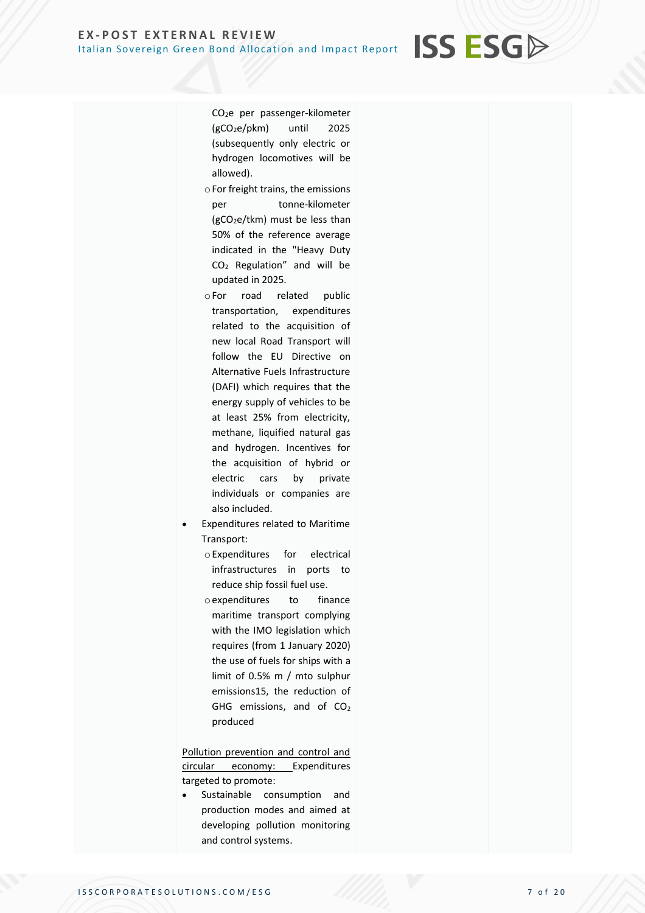CO2e per passenger-kilometer (gCO2e/pkm) until 2025 (subsequently only electric or hydrogen locomotives will be allowed).

**ISS ESG** 

- oFor freight trains, the emissions per tonne-kilometer  $(gCO<sub>2</sub>e/tkm)$  must be less than 50% of the reference average indicated in the "Heavy Duty CO<sup>2</sup> Regulation" and will be updated in 2025.
- oFor road related public transportation, expenditures related to the acquisition of new local Road Transport will follow the EU Directive on Alternative Fuels Infrastructure (DAFI) which requires that the energy supply of vehicles to be at least 25% from electricity, methane, liquified natural gas and hydrogen. Incentives for the acquisition of hybrid or electric cars by private individuals or companies are also included.
- Expenditures related to Maritime Transport:
	- oExpenditures for electrical infrastructures in ports to reduce ship fossil fuel use.
	- oexpenditures to finance maritime transport complying with the IMO legislation which requires (from 1 January 2020) the use of fuels for ships with a limit of 0.5% m / mto sulphur emissions15, the reduction of GHG emissions, and of  $CO<sub>2</sub>$ produced

Pollution prevention and control and circular economy: Expenditures targeted to promote:

Sustainable consumption and production modes and aimed at developing pollution monitoring and control systems.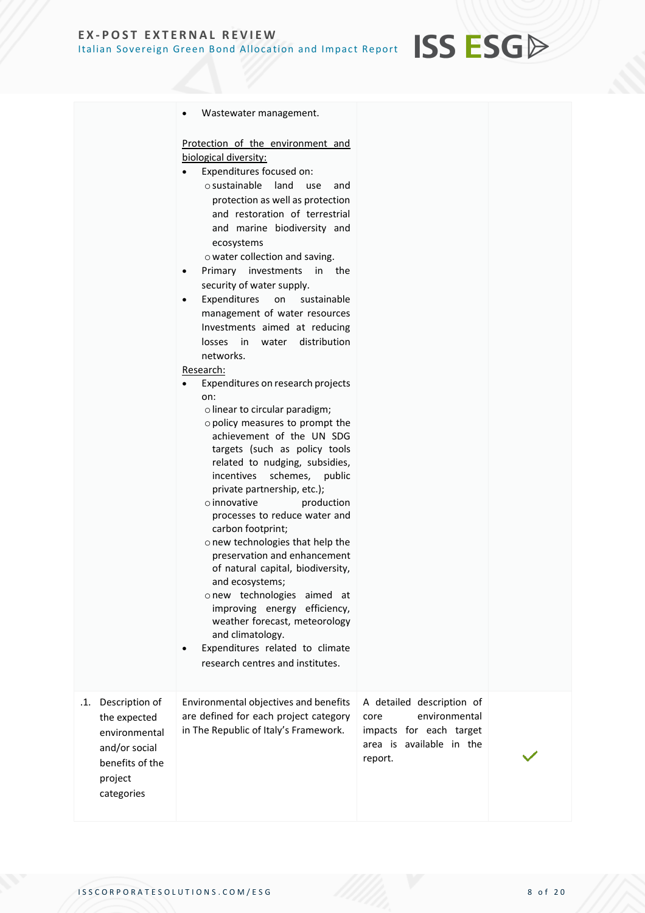|                                                                                                                     | Wastewater management.<br>$\bullet$                                                                                                                                                                                                                                                                                                                                                                                                                                                                                                                                                                                                                                                                                                                                                                                                                                                                                                                                                                                                                                                                                                                              |                                                                                                                      |  |
|---------------------------------------------------------------------------------------------------------------------|------------------------------------------------------------------------------------------------------------------------------------------------------------------------------------------------------------------------------------------------------------------------------------------------------------------------------------------------------------------------------------------------------------------------------------------------------------------------------------------------------------------------------------------------------------------------------------------------------------------------------------------------------------------------------------------------------------------------------------------------------------------------------------------------------------------------------------------------------------------------------------------------------------------------------------------------------------------------------------------------------------------------------------------------------------------------------------------------------------------------------------------------------------------|----------------------------------------------------------------------------------------------------------------------|--|
|                                                                                                                     | Protection of the environment and<br>biological diversity:<br>Expenditures focused on:<br>$\circ$ sustainable<br>land<br>use<br>and<br>protection as well as protection<br>and restoration of terrestrial<br>and marine biodiversity and<br>ecosystems<br>o water collection and saving.<br>investments in the<br>Primary<br>$\bullet$<br>security of water supply.<br>Expenditures<br>on<br>sustainable<br>$\bullet$<br>management of water resources<br>Investments aimed at reducing<br>distribution<br>losses<br>in<br>water<br>networks.<br>Research:<br>Expenditures on research projects<br>on:<br>o linear to circular paradigm;<br>o policy measures to prompt the<br>achievement of the UN SDG<br>targets (such as policy tools<br>related to nudging, subsidies,<br>schemes, public<br>incentives<br>private partnership, etc.);<br>$\circ$ innovative<br>production<br>processes to reduce water and<br>carbon footprint;<br>o new technologies that help the<br>preservation and enhancement<br>of natural capital, biodiversity,<br>and ecosystems;<br>onew technologies aimed at<br>improving energy efficiency,<br>weather forecast, meteorology |                                                                                                                      |  |
|                                                                                                                     | and climatology.<br>Expenditures related to climate<br>research centres and institutes.                                                                                                                                                                                                                                                                                                                                                                                                                                                                                                                                                                                                                                                                                                                                                                                                                                                                                                                                                                                                                                                                          |                                                                                                                      |  |
| Description of<br>.1.<br>the expected<br>environmental<br>and/or social<br>benefits of the<br>project<br>categories | Environmental objectives and benefits<br>are defined for each project category<br>in The Republic of Italy's Framework.                                                                                                                                                                                                                                                                                                                                                                                                                                                                                                                                                                                                                                                                                                                                                                                                                                                                                                                                                                                                                                          | A detailed description of<br>environmental<br>core<br>impacts for each target<br>area is available in the<br>report. |  |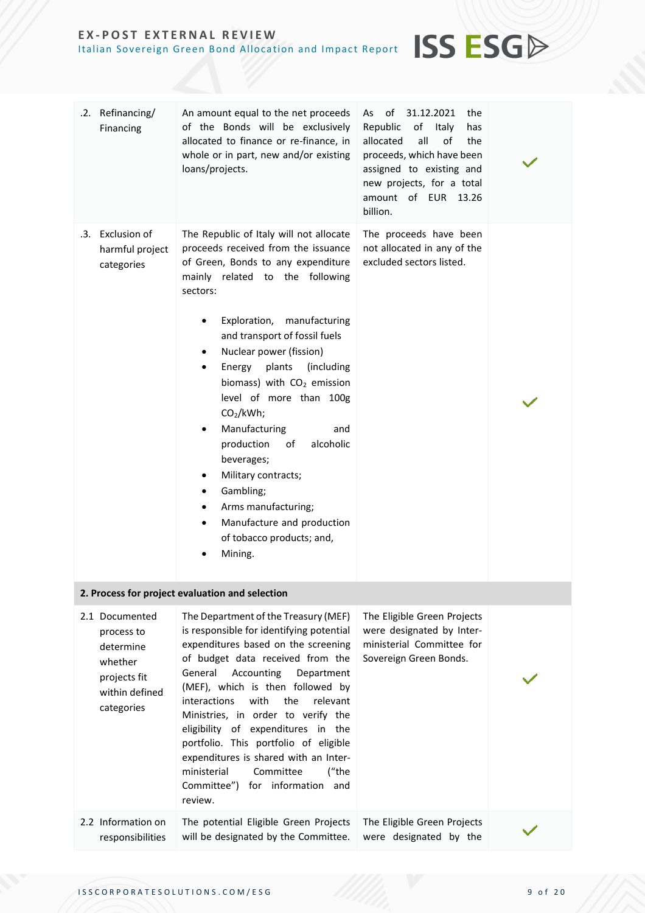| .2. Refinancing/<br>Financing                                                                        | An amount equal to the net proceeds<br>of the Bonds will be exclusively<br>allocated to finance or re-finance, in<br>whole or in part, new and/or existing<br>loans/projects.                                                                                                                                                                                                                                                                                                                                                                                                                                                | of<br>31.12.2021<br>As<br>the<br>Republic<br>of<br>Italy<br>has<br>allocated<br>all<br>of<br>the<br>proceeds, which have been<br>assigned to existing and<br>new projects, for a total<br>amount of EUR 13.26<br>billion. |  |
|------------------------------------------------------------------------------------------------------|------------------------------------------------------------------------------------------------------------------------------------------------------------------------------------------------------------------------------------------------------------------------------------------------------------------------------------------------------------------------------------------------------------------------------------------------------------------------------------------------------------------------------------------------------------------------------------------------------------------------------|---------------------------------------------------------------------------------------------------------------------------------------------------------------------------------------------------------------------------|--|
| .3. Exclusion of<br>harmful project<br>categories                                                    | The Republic of Italy will not allocate<br>proceeds received from the issuance<br>of Green, Bonds to any expenditure<br>mainly related to the following<br>sectors:<br>Exploration, manufacturing<br>and transport of fossil fuels<br>Nuclear power (fission)<br>Energy<br>plants<br>(including<br>biomass) with CO <sub>2</sub> emission<br>level of more than 100g<br>CO <sub>2</sub> /kWh;<br>Manufacturing<br>and<br>$\bullet$<br>production<br>of<br>alcoholic<br>beverages;<br>Military contracts;<br>Gambling;<br>٠<br>Arms manufacturing;<br>٠<br>Manufacture and production<br>of tobacco products; and,<br>Mining. | The proceeds have been<br>not allocated in any of the<br>excluded sectors listed.                                                                                                                                         |  |
|                                                                                                      | 2. Process for project evaluation and selection                                                                                                                                                                                                                                                                                                                                                                                                                                                                                                                                                                              |                                                                                                                                                                                                                           |  |
| 2.1 Documented<br>process to<br>determine<br>whether<br>projects fit<br>within defined<br>categories | The Department of the Treasury (MEF)<br>is responsible for identifying potential<br>expenditures based on the screening<br>of budget data received from the<br>Accounting<br>General<br>Department<br>(MEF), which is then followed by<br>interactions<br>with<br>the<br>relevant<br>Ministries, in order to verify the<br>eligibility of expenditures in the<br>portfolio. This portfolio of eligible<br>expenditures is shared with an Inter-<br>ministerial<br>Committee<br>("the<br>Committee") for information and<br>review.                                                                                           | The Eligible Green Projects<br>were designated by Inter-<br>ministerial Committee for<br>Sovereign Green Bonds.                                                                                                           |  |

**ISS ESG**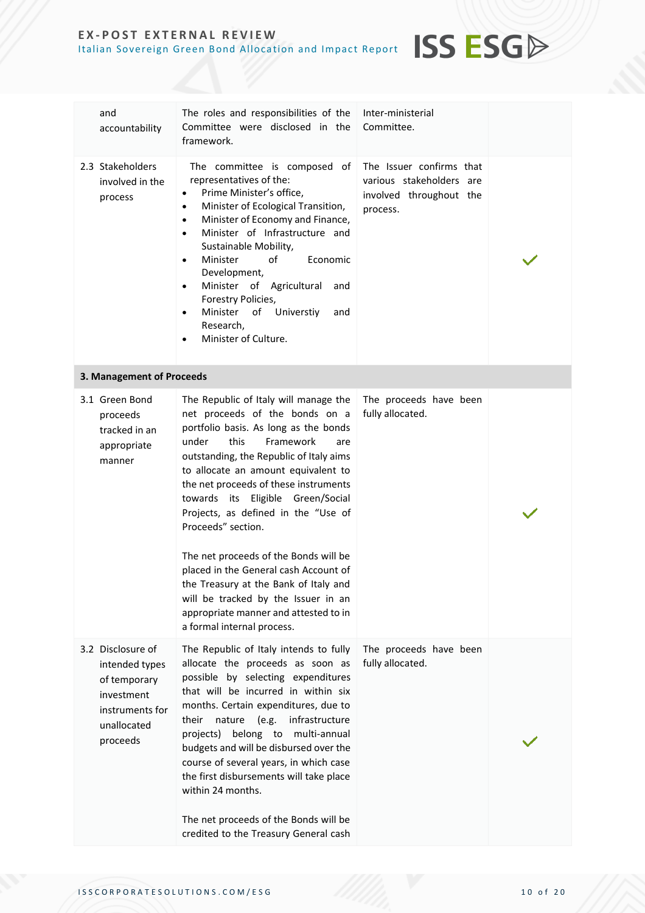| and<br>accountability                                                                                           | The roles and responsibilities of the<br>Committee were disclosed in the<br>framework.                                                                                                                                                                                                                                                                                                                                                                                                                                                                                                                                      | Inter-ministerial<br>Committee.                                                             |  |
|-----------------------------------------------------------------------------------------------------------------|-----------------------------------------------------------------------------------------------------------------------------------------------------------------------------------------------------------------------------------------------------------------------------------------------------------------------------------------------------------------------------------------------------------------------------------------------------------------------------------------------------------------------------------------------------------------------------------------------------------------------------|---------------------------------------------------------------------------------------------|--|
| 2.3 Stakeholders<br>involved in the<br>process                                                                  | The committee is composed of<br>representatives of the:<br>Prime Minister's office,<br>$\bullet$<br>Minister of Ecological Transition,<br>٠<br>Minister of Economy and Finance,<br>$\bullet$<br>Minister of Infrastructure and<br>$\bullet$<br>Sustainable Mobility,<br>Minister<br>of<br>Economic<br>$\bullet$<br>Development,<br>Minister of Agricultural and<br>$\bullet$<br>Forestry Policies,<br>Minister<br>of Universtiy<br>and<br>$\bullet$<br>Research,<br>Minister of Culture.<br>$\bullet$                                                                                                                       | The Issuer confirms that<br>various stakeholders are<br>involved throughout the<br>process. |  |
| 3. Management of Proceeds                                                                                       |                                                                                                                                                                                                                                                                                                                                                                                                                                                                                                                                                                                                                             |                                                                                             |  |
| 3.1 Green Bond<br>proceeds<br>tracked in an<br>appropriate<br>manner                                            | The Republic of Italy will manage the<br>net proceeds of the bonds on a<br>portfolio basis. As long as the bonds<br>this<br>Framework<br>under<br>are<br>outstanding, the Republic of Italy aims<br>to allocate an amount equivalent to<br>the net proceeds of these instruments<br>towards its Eligible Green/Social<br>Projects, as defined in the "Use of<br>Proceeds" section.<br>The net proceeds of the Bonds will be<br>placed in the General cash Account of<br>the Treasury at the Bank of Italy and<br>will be tracked by the Issuer in an<br>appropriate manner and attested to in<br>a formal internal process. | The proceeds have been<br>fully allocated.                                                  |  |
| 3.2 Disclosure of<br>intended types<br>of temporary<br>investment<br>instruments for<br>unallocated<br>proceeds | The Republic of Italy intends to fully<br>allocate the proceeds as soon as<br>possible by selecting expenditures<br>that will be incurred in within six<br>months. Certain expenditures, due to<br>(e.g.<br>infrastructure<br>their<br>nature<br>projects) belong to multi-annual<br>budgets and will be disbursed over the<br>course of several years, in which case<br>the first disbursements will take place<br>within 24 months.<br>The net proceeds of the Bonds will be<br>credited to the Treasury General cash                                                                                                     | The proceeds have been<br>fully allocated.                                                  |  |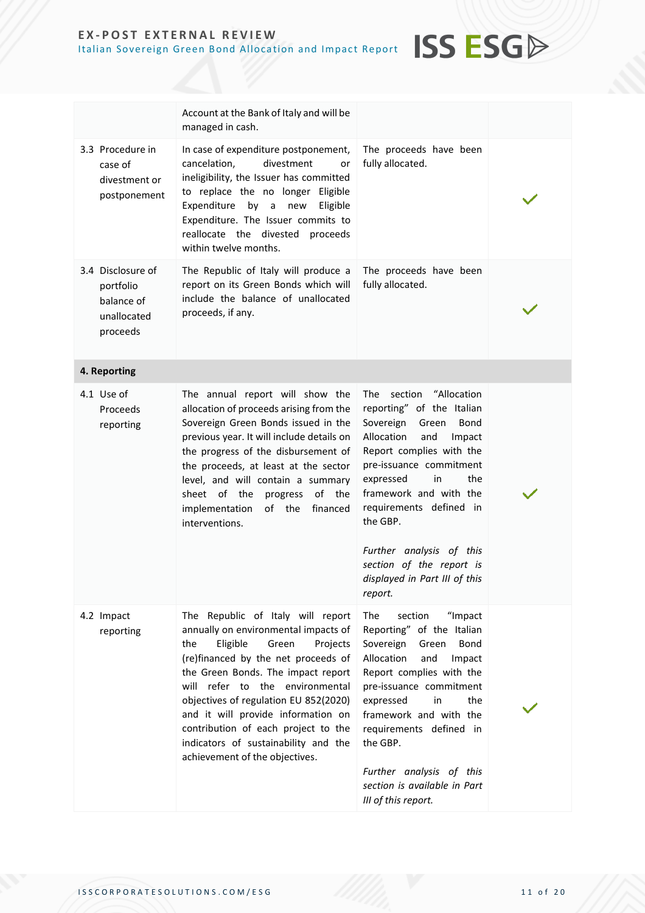|                                                                         | Account at the Bank of Italy and will be<br>managed in cash.                                                                                                                                                                                                                                                                                                                                                                      |                                                                                                                                                                                                                                                                                                                                                                               |  |
|-------------------------------------------------------------------------|-----------------------------------------------------------------------------------------------------------------------------------------------------------------------------------------------------------------------------------------------------------------------------------------------------------------------------------------------------------------------------------------------------------------------------------|-------------------------------------------------------------------------------------------------------------------------------------------------------------------------------------------------------------------------------------------------------------------------------------------------------------------------------------------------------------------------------|--|
| 3.3 Procedure in<br>case of<br>divestment or<br>postponement            | In case of expenditure postponement,<br>divestment<br>cancelation,<br>or<br>ineligibility, the Issuer has committed<br>to replace the no longer Eligible<br>Expenditure<br>by<br>$\mathsf{a}$<br>Eligible<br>new<br>Expenditure. The Issuer commits to<br>reallocate the divested<br>proceeds<br>within twelve months.                                                                                                            | The proceeds have been<br>fully allocated.                                                                                                                                                                                                                                                                                                                                    |  |
| 3.4 Disclosure of<br>portfolio<br>balance of<br>unallocated<br>proceeds | The Republic of Italy will produce a<br>report on its Green Bonds which will<br>include the balance of unallocated<br>proceeds, if any.                                                                                                                                                                                                                                                                                           | The proceeds have been<br>fully allocated.                                                                                                                                                                                                                                                                                                                                    |  |
| 4. Reporting                                                            |                                                                                                                                                                                                                                                                                                                                                                                                                                   |                                                                                                                                                                                                                                                                                                                                                                               |  |
| 4.1 Use of<br>Proceeds<br>reporting                                     | The annual report will show the<br>allocation of proceeds arising from the<br>Sovereign Green Bonds issued in the<br>previous year. It will include details on<br>the progress of the disbursement of<br>the proceeds, at least at the sector<br>level, and will contain a summary<br>sheet of the<br>of the<br>progress<br>implementation<br>of the<br>financed<br>interventions.                                                | "Allocation<br>The<br>section<br>reporting" of the Italian<br>Sovereign<br>Green<br>Bond<br>Allocation<br>and<br>Impact<br>Report complies with the<br>pre-issuance commitment<br>the<br>expressed<br>in<br>framework and with the<br>requirements defined in<br>the GBP.<br>Further analysis of this<br>section of the report is<br>displayed in Part III of this<br>report. |  |
| 4.2 Impact<br>reporting                                                 | The Republic of Italy will report<br>annually on environmental impacts of<br>Eligible<br>the<br>Green<br>Projects<br>(re)financed by the net proceeds of<br>the Green Bonds. The impact report<br>will refer to the environmental<br>objectives of regulation EU 852(2020)<br>and it will provide information on<br>contribution of each project to the<br>indicators of sustainability and the<br>achievement of the objectives. | "Impact<br>The<br>section<br>Reporting" of the Italian<br>Sovereign<br>Green<br>Bond<br>Allocation<br>and<br>Impact<br>Report complies with the<br>pre-issuance commitment<br>the<br>expressed<br>in<br>framework and with the<br>requirements defined in<br>the GBP.<br>Further analysis of this<br>section is available in Part<br>III of this report.                      |  |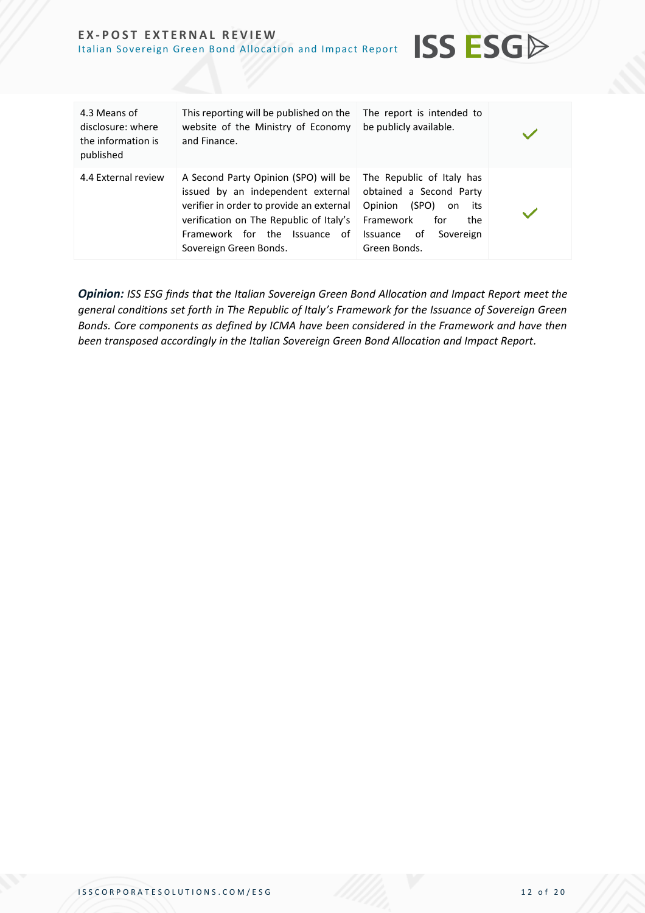| 4.3 Means of<br>disclosure: where<br>the information is<br>published | This reporting will be published on the<br>website of the Ministry of Economy<br>and Finance.                                                                                                                               | The report is intended to<br>be publicly available.                                                                                                             |  |
|----------------------------------------------------------------------|-----------------------------------------------------------------------------------------------------------------------------------------------------------------------------------------------------------------------------|-----------------------------------------------------------------------------------------------------------------------------------------------------------------|--|
| 4.4 External review                                                  | A Second Party Opinion (SPO) will be<br>issued by an independent external<br>verifier in order to provide an external<br>verification on The Republic of Italy's<br>Framework for the Issuance of<br>Sovereign Green Bonds. | The Republic of Italy has<br>obtained a Second Party<br>(SPO)<br>Opinion<br>its<br>on<br>Framework<br>for<br>the<br>of<br>Sovereign<br>Issuance<br>Green Bonds. |  |

**ISS ESGA** 

*Opinion: ISS ESG finds that the Italian Sovereign Green Bond Allocation and Impact Report meet the general conditions set forth in The Republic of Italy's Framework for the Issuance of Sovereign Green Bonds. Core components as defined by ICMA have been considered in the Framework and have then been transposed accordingly in the Italian Sovereign Green Bond Allocation and Impact Report.*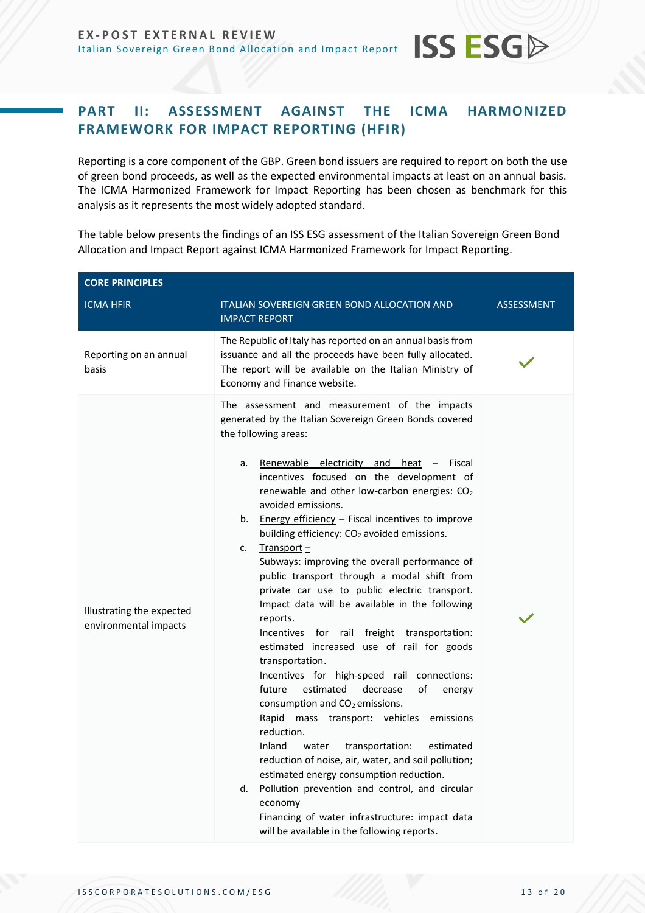## <span id="page-12-0"></span>**PART II: ASSESSMENT AGAINST THE ICMA HARMONIZED FRAMEWORK FOR IMPACT REPORTING (HFIR)**

**ISS ESG** 

Reporting is a core component of the GBP. Green bond issuers are required to report on both the use of green bond proceeds, as well as the expected environmental impacts at least on an annual basis. The ICMA Harmonized Framework for Impact Reporting has been chosen as benchmark for this analysis as it represents the most widely adopted standard.

The table below presents the findings of an ISS ESG assessment of the Italian Sovereign Green Bond Allocation and Impact Report against ICMA Harmonized Framework for Impact Reporting.

| <b>CORE PRINCIPLES</b>                             |                                                                                                                                                                                                                                                                                                                                                                                                                                                                                                                                                                                                                                                                                                                                                                                                                                                                                                                                                                                                                                                                                                                                                                                                                                                                                                                |                   |
|----------------------------------------------------|----------------------------------------------------------------------------------------------------------------------------------------------------------------------------------------------------------------------------------------------------------------------------------------------------------------------------------------------------------------------------------------------------------------------------------------------------------------------------------------------------------------------------------------------------------------------------------------------------------------------------------------------------------------------------------------------------------------------------------------------------------------------------------------------------------------------------------------------------------------------------------------------------------------------------------------------------------------------------------------------------------------------------------------------------------------------------------------------------------------------------------------------------------------------------------------------------------------------------------------------------------------------------------------------------------------|-------------------|
| <b>ICMA HFIR</b>                                   | ITALIAN SOVEREIGN GREEN BOND ALLOCATION AND<br><b>IMPACT REPORT</b>                                                                                                                                                                                                                                                                                                                                                                                                                                                                                                                                                                                                                                                                                                                                                                                                                                                                                                                                                                                                                                                                                                                                                                                                                                            | <b>ASSESSMENT</b> |
| Reporting on an annual<br>basis                    | The Republic of Italy has reported on an annual basis from<br>issuance and all the proceeds have been fully allocated.<br>The report will be available on the Italian Ministry of<br>Economy and Finance website.                                                                                                                                                                                                                                                                                                                                                                                                                                                                                                                                                                                                                                                                                                                                                                                                                                                                                                                                                                                                                                                                                              |                   |
| Illustrating the expected<br>environmental impacts | The assessment and measurement of the impacts<br>generated by the Italian Sovereign Green Bonds covered<br>the following areas:<br>Renewable electricity and heat $-$ Fiscal<br>a.<br>incentives focused on the development of<br>renewable and other low-carbon energies: CO2<br>avoided emissions.<br>b. Energy efficiency - Fiscal incentives to improve<br>building efficiency: CO <sub>2</sub> avoided emissions.<br>$Transport -$<br>c.<br>Subways: improving the overall performance of<br>public transport through a modal shift from<br>private car use to public electric transport.<br>Impact data will be available in the following<br>reports.<br>Incentives for rail freight transportation:<br>estimated increased use of rail for goods<br>transportation.<br>Incentives for high-speed rail connections:<br>future<br>estimated<br>οf<br>decrease<br>energy<br>consumption and CO <sub>2</sub> emissions.<br>Rapid mass transport: vehicles emissions<br>reduction.<br>Inland<br>transportation:<br>water<br>estimated<br>reduction of noise, air, water, and soil pollution;<br>estimated energy consumption reduction.<br>Pollution prevention and control, and circular<br>d.<br>economy<br>Financing of water infrastructure: impact data<br>will be available in the following reports. |                   |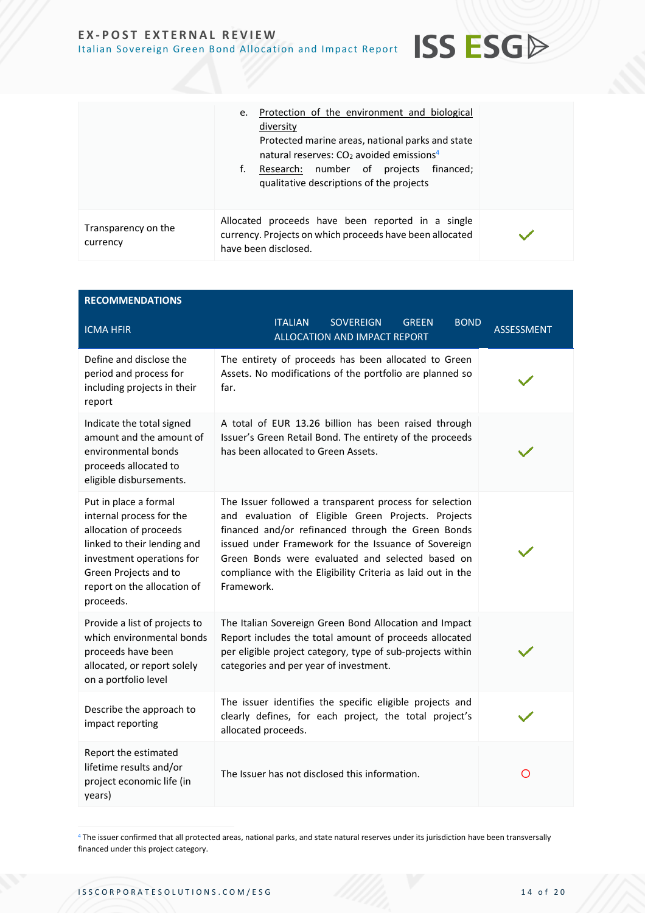|                                 | Protection of the environment and biological<br>e.<br>diversity<br>Protected marine areas, national parks and state<br>natural reserves: $CO2$ avoided emissions <sup>4</sup><br>Research: number of projects financed;<br>f.<br>qualitative descriptions of the projects |  |
|---------------------------------|---------------------------------------------------------------------------------------------------------------------------------------------------------------------------------------------------------------------------------------------------------------------------|--|
| Transparency on the<br>currency | Allocated proceeds have been reported in a single<br>currency. Projects on which proceeds have been allocated<br>have been disclosed.                                                                                                                                     |  |

**ISS ESG** 

| <b>RECOMMENDATIONS</b>                                                                                                                                                                                       |                                                                                                                                                                                                                                                                                                                                                               |                   |
|--------------------------------------------------------------------------------------------------------------------------------------------------------------------------------------------------------------|---------------------------------------------------------------------------------------------------------------------------------------------------------------------------------------------------------------------------------------------------------------------------------------------------------------------------------------------------------------|-------------------|
| <b>ICMA HFIR</b>                                                                                                                                                                                             | <b>ITALIAN</b><br><b>SOVEREIGN</b><br><b>BOND</b><br><b>GREEN</b><br>ALLOCATION AND IMPACT REPORT                                                                                                                                                                                                                                                             | <b>ASSESSMENT</b> |
| Define and disclose the<br>period and process for<br>including projects in their<br>report                                                                                                                   | The entirety of proceeds has been allocated to Green<br>Assets. No modifications of the portfolio are planned so<br>far.                                                                                                                                                                                                                                      |                   |
| Indicate the total signed<br>amount and the amount of<br>environmental bonds<br>proceeds allocated to<br>eligible disbursements.                                                                             | A total of EUR 13.26 billion has been raised through<br>Issuer's Green Retail Bond. The entirety of the proceeds<br>has been allocated to Green Assets.                                                                                                                                                                                                       |                   |
| Put in place a formal<br>internal process for the<br>allocation of proceeds<br>linked to their lending and<br>investment operations for<br>Green Projects and to<br>report on the allocation of<br>proceeds. | The Issuer followed a transparent process for selection<br>and evaluation of Eligible Green Projects. Projects<br>financed and/or refinanced through the Green Bonds<br>issued under Framework for the Issuance of Sovereign<br>Green Bonds were evaluated and selected based on<br>compliance with the Eligibility Criteria as laid out in the<br>Framework. |                   |
| Provide a list of projects to<br>which environmental bonds<br>proceeds have been<br>allocated, or report solely<br>on a portfolio level                                                                      | The Italian Sovereign Green Bond Allocation and Impact<br>Report includes the total amount of proceeds allocated<br>per eligible project category, type of sub-projects within<br>categories and per year of investment.                                                                                                                                      |                   |
| Describe the approach to<br>impact reporting                                                                                                                                                                 | The issuer identifies the specific eligible projects and<br>clearly defines, for each project, the total project's<br>allocated proceeds.                                                                                                                                                                                                                     |                   |
| Report the estimated<br>lifetime results and/or<br>project economic life (in<br>years)                                                                                                                       | The Issuer has not disclosed this information.                                                                                                                                                                                                                                                                                                                | O                 |

<sup>4</sup> The issuer confirmed that all protected areas, national parks, and state natural reserves under its jurisdiction have been transversally financed under this project category.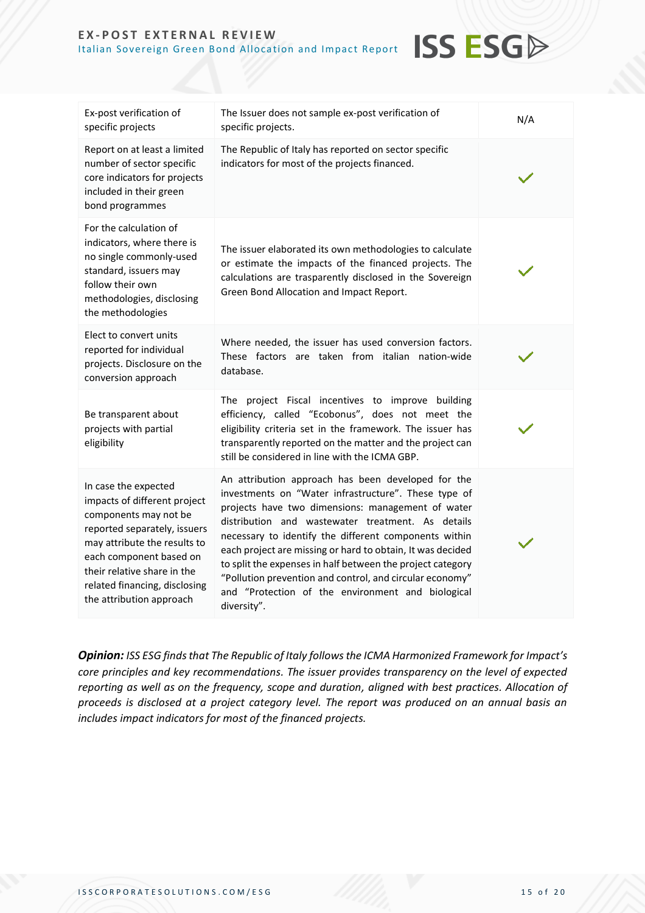| Ex-post verification of<br>specific projects                                                                                                                                                                                                                         | The Issuer does not sample ex-post verification of<br>specific projects.                                                                                                                                                                                                                                                                                                                                                                                                                                                                  | N/A |
|----------------------------------------------------------------------------------------------------------------------------------------------------------------------------------------------------------------------------------------------------------------------|-------------------------------------------------------------------------------------------------------------------------------------------------------------------------------------------------------------------------------------------------------------------------------------------------------------------------------------------------------------------------------------------------------------------------------------------------------------------------------------------------------------------------------------------|-----|
| Report on at least a limited<br>number of sector specific<br>core indicators for projects<br>included in their green<br>bond programmes                                                                                                                              | The Republic of Italy has reported on sector specific<br>indicators for most of the projects financed.                                                                                                                                                                                                                                                                                                                                                                                                                                    |     |
| For the calculation of<br>indicators, where there is<br>no single commonly-used<br>standard, issuers may<br>follow their own<br>methodologies, disclosing<br>the methodologies                                                                                       | The issuer elaborated its own methodologies to calculate<br>or estimate the impacts of the financed projects. The<br>calculations are trasparently disclosed in the Sovereign<br>Green Bond Allocation and Impact Report.                                                                                                                                                                                                                                                                                                                 |     |
| Elect to convert units<br>reported for individual<br>projects. Disclosure on the<br>conversion approach                                                                                                                                                              | Where needed, the issuer has used conversion factors.<br>These factors are taken from italian nation-wide<br>database.                                                                                                                                                                                                                                                                                                                                                                                                                    |     |
| Be transparent about<br>projects with partial<br>eligibility                                                                                                                                                                                                         | The project Fiscal incentives to improve building<br>efficiency, called "Ecobonus", does not meet the<br>eligibility criteria set in the framework. The issuer has<br>transparently reported on the matter and the project can<br>still be considered in line with the ICMA GBP.                                                                                                                                                                                                                                                          |     |
| In case the expected<br>impacts of different project<br>components may not be<br>reported separately, issuers<br>may attribute the results to<br>each component based on<br>their relative share in the<br>related financing, disclosing<br>the attribution approach | An attribution approach has been developed for the<br>investments on "Water infrastructure". These type of<br>projects have two dimensions: management of water<br>distribution and wastewater treatment. As details<br>necessary to identify the different components within<br>each project are missing or hard to obtain, It was decided<br>to split the expenses in half between the project category<br>"Pollution prevention and control, and circular economy"<br>and "Protection of the environment and biological<br>diversity". |     |

**ISS ESGA** 

*Opinion: ISS ESG finds that The Republic of Italy followsthe ICMA Harmonized Framework for Impact's core principles and key recommendations. The issuer provides transparency on the level of expected reporting as well as on the frequency, scope and duration, aligned with best practices. Allocation of proceeds is disclosed at a project category level. The report was produced on an annual basis an includes impact indicators for most of the financed projects.*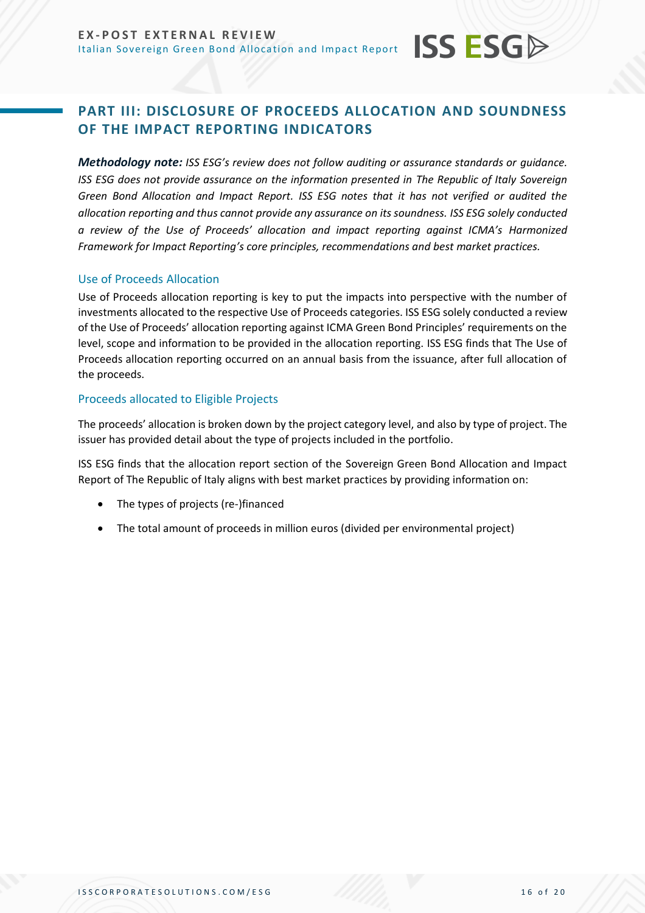## <span id="page-15-0"></span>**PART III: DISCLOSURE OF PROCEEDS ALLOCATION AND SOUNDNESS OF THE IMPACT REPORTING INDICATORS**

**ISS ESG** 

*Methodology note: ISS ESG's review does not follow auditing or assurance standards or quidance. ISS ESG does not provide assurance on the information presented in The Republic of Italy Sovereign Green Bond Allocation and Impact Report. ISS ESG notes that it has not verified or audited the allocation reporting and thus cannot provide any assurance on its soundness. ISS ESG solely conducted a review of the Use of Proceeds' allocation and impact reporting against ICMA's Harmonized Framework for Impact Reporting's core principles, recommendations and best market practices.*

#### Use of Proceeds Allocation

Use of Proceeds allocation reporting is key to put the impacts into perspective with the number of investments allocated to the respective Use of Proceeds categories. ISS ESG solely conducted a review of the Use of Proceeds' allocation reporting against ICMA Green Bond Principles' requirements on the level, scope and information to be provided in the allocation reporting. ISS ESG finds that The Use of Proceeds allocation reporting occurred on an annual basis from the issuance, after full allocation of the proceeds.

#### Proceeds allocated to Eligible Projects

The proceeds' allocation is broken down by the project category level, and also by type of project. The issuer has provided detail about the type of projects included in the portfolio.

ISS ESG finds that the allocation report section of the Sovereign Green Bond Allocation and Impact Report of The Republic of Italy aligns with best market practices by providing information on:

- The types of projects (re-)financed
- The total amount of proceeds in million euros (divided per environmental project)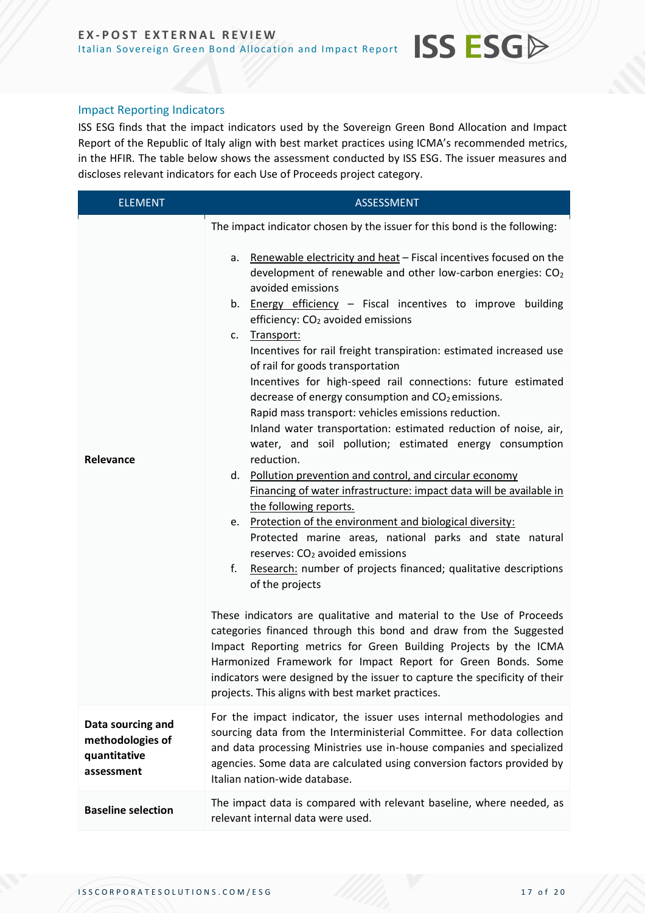#### Impact Reporting Indicators

ISS ESG finds that the impact indicators used by the Sovereign Green Bond Allocation and Impact Report of the Republic of Italy align with best market practices using ICMA's recommended metrics, in the HFIR. The table below shows the assessment conducted by ISS ESG. The issuer measures and discloses relevant indicators for each Use of Proceeds project category.

**ISS ESGA** 

| <b>ELEMENT</b>                                                      | <b>ASSESSMENT</b>                                                                                                                                                                                                                                                                                                                                                                                                                                                                                                                                                                                                                                                                                                                                                                                                                                                                                                                                                                                                                                                                                                                                                                                                                                                                                                                                                                                                                                                                                                                                                                                                                                                                                 |  |
|---------------------------------------------------------------------|---------------------------------------------------------------------------------------------------------------------------------------------------------------------------------------------------------------------------------------------------------------------------------------------------------------------------------------------------------------------------------------------------------------------------------------------------------------------------------------------------------------------------------------------------------------------------------------------------------------------------------------------------------------------------------------------------------------------------------------------------------------------------------------------------------------------------------------------------------------------------------------------------------------------------------------------------------------------------------------------------------------------------------------------------------------------------------------------------------------------------------------------------------------------------------------------------------------------------------------------------------------------------------------------------------------------------------------------------------------------------------------------------------------------------------------------------------------------------------------------------------------------------------------------------------------------------------------------------------------------------------------------------------------------------------------------------|--|
| Relevance                                                           | The impact indicator chosen by the issuer for this bond is the following:<br>Renewable electricity and heat - Fiscal incentives focused on the<br>a.<br>development of renewable and other low-carbon energies: CO <sub>2</sub><br>avoided emissions<br>Energy efficiency - Fiscal incentives to improve building<br>b.<br>efficiency: CO <sub>2</sub> avoided emissions<br>Transport:<br>c.<br>Incentives for rail freight transpiration: estimated increased use<br>of rail for goods transportation<br>Incentives for high-speed rail connections: future estimated<br>decrease of energy consumption and CO <sub>2</sub> emissions.<br>Rapid mass transport: vehicles emissions reduction.<br>Inland water transportation: estimated reduction of noise, air,<br>water, and soil pollution; estimated energy consumption<br>reduction.<br>d. Pollution prevention and control, and circular economy<br>Financing of water infrastructure: impact data will be available in<br>the following reports.<br>e. Protection of the environment and biological diversity:<br>Protected marine areas, national parks and state natural<br>reserves: CO <sub>2</sub> avoided emissions<br>Research: number of projects financed; qualitative descriptions<br>f.<br>of the projects<br>These indicators are qualitative and material to the Use of Proceeds<br>categories financed through this bond and draw from the Suggested<br>Impact Reporting metrics for Green Building Projects by the ICMA<br>Harmonized Framework for Impact Report for Green Bonds. Some<br>indicators were designed by the issuer to capture the specificity of their<br>projects. This aligns with best market practices. |  |
| Data sourcing and<br>methodologies of<br>quantitative<br>assessment | For the impact indicator, the issuer uses internal methodologies and<br>sourcing data from the Interministerial Committee. For data collection<br>and data processing Ministries use in-house companies and specialized<br>agencies. Some data are calculated using conversion factors provided by<br>Italian nation-wide database.                                                                                                                                                                                                                                                                                                                                                                                                                                                                                                                                                                                                                                                                                                                                                                                                                                                                                                                                                                                                                                                                                                                                                                                                                                                                                                                                                               |  |
| <b>Baseline selection</b>                                           | The impact data is compared with relevant baseline, where needed, as<br>relevant internal data were used.                                                                                                                                                                                                                                                                                                                                                                                                                                                                                                                                                                                                                                                                                                                                                                                                                                                                                                                                                                                                                                                                                                                                                                                                                                                                                                                                                                                                                                                                                                                                                                                         |  |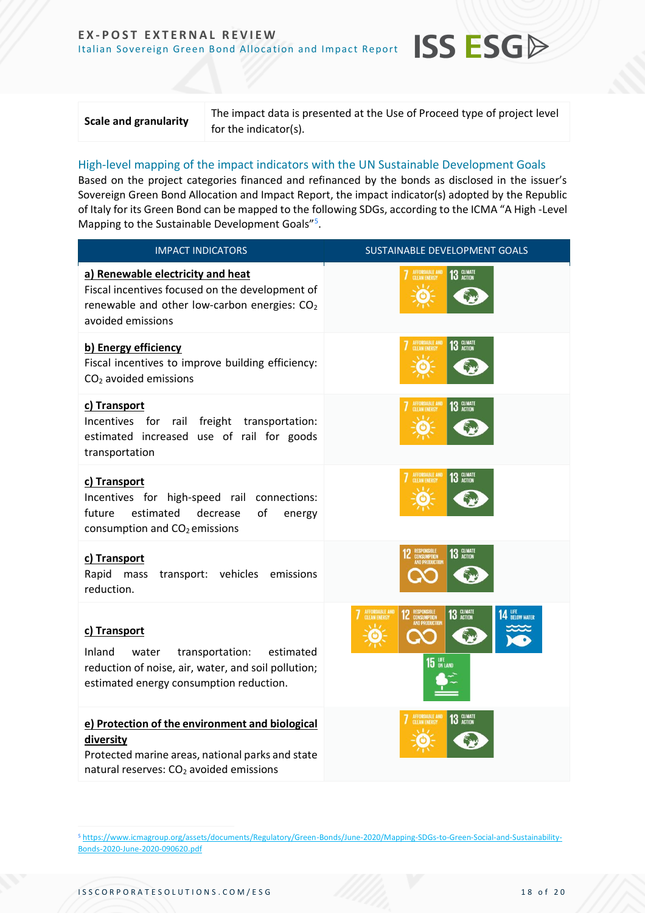The impact data is presented at the Use of Proceed type of project level for the indicator(s).

**ISS ESG** 

#### High-level mapping of the impact indicators with the UN Sustainable Development Goals

Based on the project categories financed and refinanced by the bonds as disclosed in the issuer's Sovereign Green Bond Allocation and Impact Report, the impact indicator(s) adopted by the Republic of Italy for its Green Bond can be mapped to the following SDGs, according to the ICMA "A High -Level Mapping to the Sustainable Development Goals"<sup>5</sup>.

| <b>IMPACT INDICATORS</b>                                                                                                                                                | SUSTAINABLE DEVELOPMENT GOALS                                |
|-------------------------------------------------------------------------------------------------------------------------------------------------------------------------|--------------------------------------------------------------|
| a) Renewable electricity and heat<br>Fiscal incentives focused on the development of<br>renewable and other low-carbon energies: CO <sub>2</sub><br>avoided emissions   | 13 GLIMATE                                                   |
| b) Energy efficiency<br>Fiscal incentives to improve building efficiency:<br>$CO2$ avoided emissions                                                                    | 13 GLIMATE<br>AFFORDABLE AN                                  |
| c) Transport<br>Incentives for rail freight transportation:<br>estimated increased use of rail for goods<br>transportation                                              | AFFORDABLE AND<br>CLEAN ENERGY<br>13 GLIMATE                 |
| c) Transport<br>Incentives for high-speed rail connections:<br>of<br>future<br>estimated<br>decrease<br>energy<br>consumption and CO <sub>2</sub> emissions             | AFFORDABLE AND<br>CLEAN ENERGY<br>13 GLIMATE                 |
| c) Transport<br>Rapid<br>transport: vehicles emissions<br>mass<br>reduction.                                                                                            | 13 GLIMATE<br>MPTION                                         |
| c) Transport<br>Inland<br>water<br>transportation:<br>estimated<br>reduction of noise, air, water, and soil pollution;<br>estimated energy consumption reduction.       | 13 GLIMATE<br><b>14 LIFE</b> BELOW WATER<br>PTION<br>15 LIFE |
| e) Protection of the environment and biological<br>diversity<br>Protected marine areas, national parks and state<br>natural reserves: CO <sub>2</sub> avoided emissions | 13 GLIMATE                                                   |

<sup>5</sup> [https://www.icmagroup.org/assets/documents/Regulatory/Green-Bonds/June-2020/Mapping-SDGs-to-Green-Social-and-Sustainability-](https://www.icmagroup.org/assets/documents/Regulatory/Green-Bonds/June-2020/Mapping-SDGs-to-Green-Social-and-Sustainability-Bonds-2020-June-2020-090620.pdf)[Bonds-2020-June-2020-090620.pdf](https://www.icmagroup.org/assets/documents/Regulatory/Green-Bonds/June-2020/Mapping-SDGs-to-Green-Social-and-Sustainability-Bonds-2020-June-2020-090620.pdf)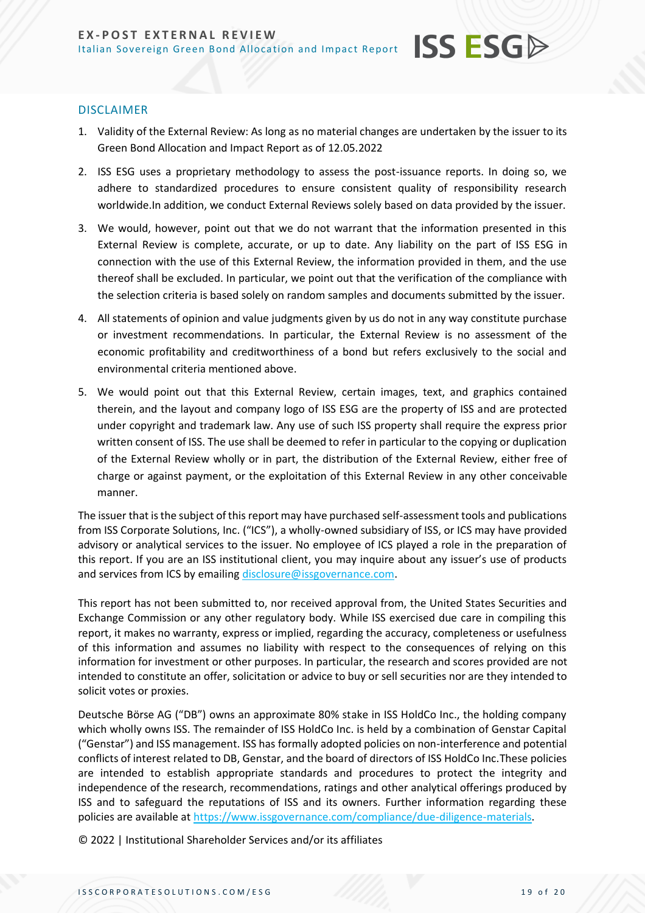#### DISCLAIMER

1. Validity of the External Review: As long as no material changes are undertaken by the issuer to its Green Bond Allocation and Impact Report as of 12.05.2022

**ISS ESGA** 

- 2. ISS ESG uses a proprietary methodology to assess the post-issuance reports. In doing so, we adhere to standardized procedures to ensure consistent quality of responsibility research worldwide.In addition, we conduct External Reviews solely based on data provided by the issuer.
- 3. We would, however, point out that we do not warrant that the information presented in this External Review is complete, accurate, or up to date. Any liability on the part of ISS ESG in connection with the use of this External Review, the information provided in them, and the use thereof shall be excluded. In particular, we point out that the verification of the compliance with the selection criteria is based solely on random samples and documents submitted by the issuer.
- 4. All statements of opinion and value judgments given by us do not in any way constitute purchase or investment recommendations. In particular, the External Review is no assessment of the economic profitability and creditworthiness of a bond but refers exclusively to the social and environmental criteria mentioned above.
- 5. We would point out that this External Review, certain images, text, and graphics contained therein, and the layout and company logo of ISS ESG are the property of ISS and are protected under copyright and trademark law. Any use of such ISS property shall require the express prior written consent of ISS. The use shall be deemed to refer in particular to the copying or duplication of the External Review wholly or in part, the distribution of the External Review, either free of charge or against payment, or the exploitation of this External Review in any other conceivable manner.

The issuer that is the subject of this report may have purchased self-assessment tools and publications from ISS Corporate Solutions, Inc. ("ICS"), a wholly-owned subsidiary of ISS, or ICS may have provided advisory or analytical services to the issuer. No employee of ICS played a role in the preparation of this report. If you are an ISS institutional client, you may inquire about any issuer's use of products and services from ICS by emailing [disclosure@issgovernance.com.](mailto:disclosure@issgovernance.com)

This report has not been submitted to, nor received approval from, the United States Securities and Exchange Commission or any other regulatory body. While ISS exercised due care in compiling this report, it makes no warranty, express or implied, regarding the accuracy, completeness or usefulness of this information and assumes no liability with respect to the consequences of relying on this information for investment or other purposes. In particular, the research and scores provided are not intended to constitute an offer, solicitation or advice to buy or sell securities nor are they intended to solicit votes or proxies.

Deutsche Börse AG ("DB") owns an approximate 80% stake in ISS HoldCo Inc., the holding company which wholly owns ISS. The remainder of ISS HoldCo Inc. is held by a combination of Genstar Capital ("Genstar") and ISS management. ISS has formally adopted policies on non-interference and potential conflicts of interest related to DB, Genstar, and the board of directors of ISS HoldCo Inc.These policies are intended to establish appropriate standards and procedures to protect the integrity and independence of the research, recommendations, ratings and other analytical offerings produced by ISS and to safeguard the reputations of ISS and its owners. Further information regarding these policies are available at [https://www.issgovernance.com/compliance/due-diligence-materials.](https://www.issgovernance.com/compliance/due-diligence-materials)

© 2022 | Institutional Shareholder Services and/or its affiliates